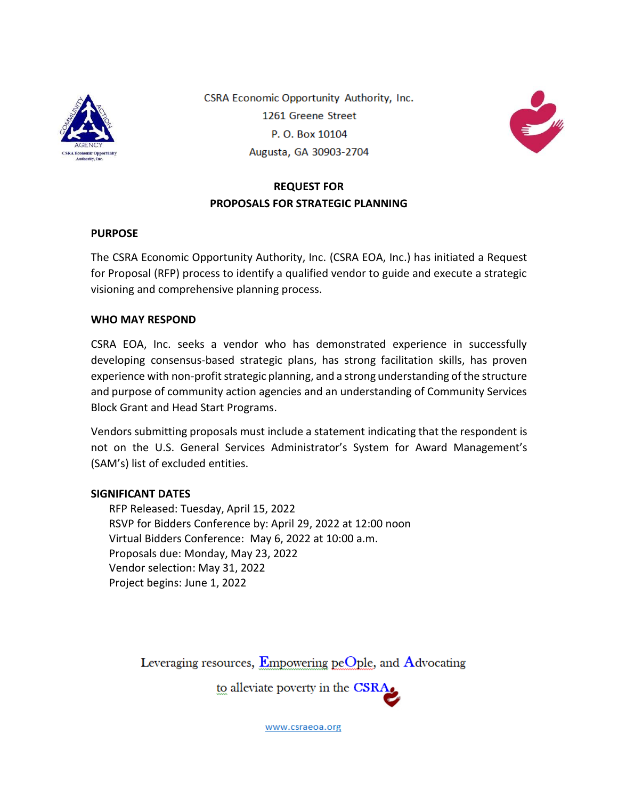

CSRA Economic Opportunity Authority, Inc. 1261 Greene Street P.O. Box 10104 Augusta, GA 30903-2704



## **REQUEST FOR PROPOSALS FOR STRATEGIC PLANNING**

#### **PURPOSE**

The CSRA Economic Opportunity Authority, Inc. (CSRA EOA, Inc.) has initiated a Request for Proposal (RFP) process to identify a qualified vendor to guide and execute a strategic visioning and comprehensive planning process.

#### **WHO MAY RESPOND**

CSRA EOA, Inc. seeks a vendor who has demonstrated experience in successfully developing consensus-based strategic plans, has strong facilitation skills, has proven experience with non-profit strategic planning, and a strong understanding of the structure and purpose of community action agencies and an understanding of Community Services Block Grant and Head Start Programs.

Vendors submitting proposals must include a statement indicating that the respondent is not on the U.S. General Services Administrator's System for Award Management's (SAM's) list of excluded entities.

#### **SIGNIFICANT DATES**

RFP Released: Tuesday, April 15, 2022 RSVP for Bidders Conference by: April 29, 2022 at 12:00 noon Virtual Bidders Conference: May 6, 2022 at 10:00 a.m. Proposals due: Monday, May 23, 2022 Vendor selection: May 31, 2022 Project begins: June 1, 2022

Leveraging resources, Empowering peOple, and Advocating

to alleviate poverty in the CSRA.

www.csraeoa.org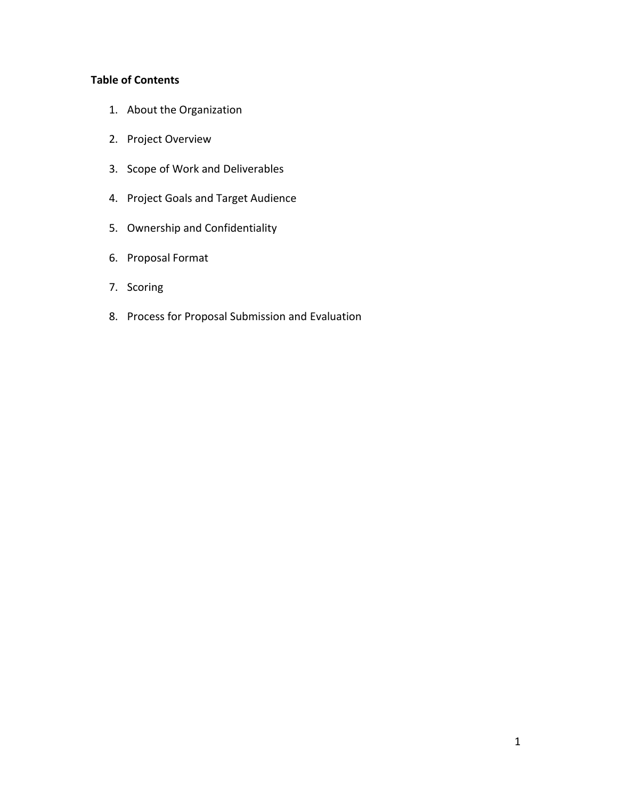### **Table of Contents**

- 1. About the Organization
- 2. Project Overview
- 3. Scope of Work and Deliverables
- 4. Project Goals and Target Audience
- 5. Ownership and Confidentiality
- 6. Proposal Format
- 7. Scoring
- 8. Process for Proposal Submission and Evaluation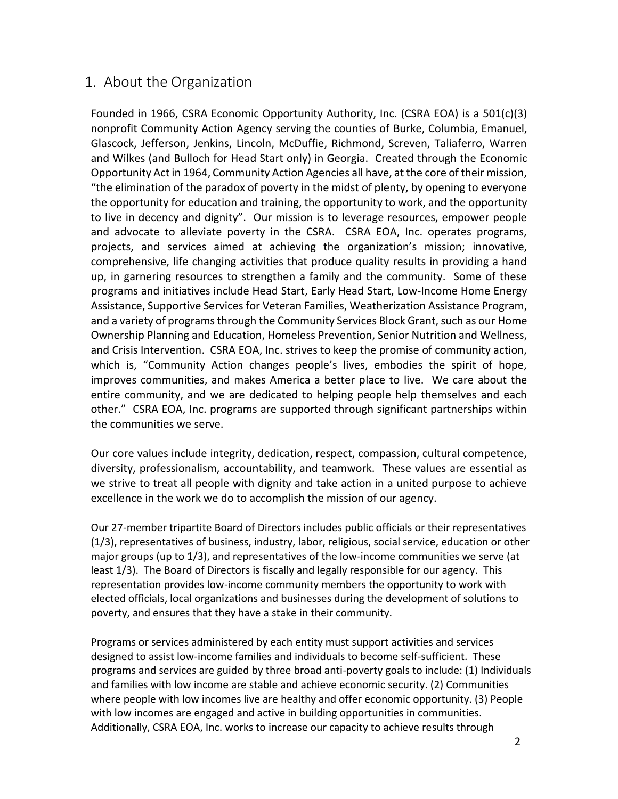## 1. About the Organization

Founded in 1966, CSRA Economic Opportunity Authority, Inc. (CSRA EOA) is a 501(c)(3) nonprofit Community Action Agency serving the counties of Burke, Columbia, Emanuel, Glascock, Jefferson, Jenkins, Lincoln, McDuffie, Richmond, Screven, Taliaferro, Warren and Wilkes (and Bulloch for Head Start only) in Georgia. Created through the Economic Opportunity Act in 1964, Community Action Agencies all have, at the core of their mission, "the elimination of the paradox of poverty in the midst of plenty, by opening to everyone the opportunity for education and training, the opportunity to work, and the opportunity to live in decency and dignity". Our mission is to leverage resources, empower people and advocate to alleviate poverty in the CSRA. CSRA EOA, Inc. operates programs, projects, and services aimed at achieving the organization's mission; innovative, comprehensive, life changing activities that produce quality results in providing a hand up, in garnering resources to strengthen a family and the community. Some of these programs and initiatives include Head Start, Early Head Start, Low-Income Home Energy Assistance, Supportive Services for Veteran Families, Weatherization Assistance Program, and a variety of programs through the Community Services Block Grant, such as our Home Ownership Planning and Education, Homeless Prevention, Senior Nutrition and Wellness, and Crisis Intervention. CSRA EOA, Inc. strives to keep the promise of community action, which is, "Community Action changes people's lives, embodies the spirit of hope, improves communities, and makes America a better place to live. We care about the entire community, and we are dedicated to helping people help themselves and each other." CSRA EOA, Inc. programs are supported through significant partnerships within the communities we serve.

Our core values include integrity, dedication, respect, compassion, cultural competence, diversity, professionalism, accountability, and teamwork. These values are essential as we strive to treat all people with dignity and take action in a united purpose to achieve excellence in the work we do to accomplish the mission of our agency.

Our 27-member tripartite Board of Directors includes public officials or their representatives (1/3), representatives of business, industry, labor, religious, social service, education or other major groups (up to 1/3), and representatives of the low-income communities we serve (at least 1/3). The Board of Directors is fiscally and legally responsible for our agency. This representation provides low-income community members the opportunity to work with elected officials, local organizations and businesses during the development of solutions to poverty, and ensures that they have a stake in their community.

Programs or services administered by each entity must support activities and services designed to assist low-income families and individuals to become self-sufficient. These programs and services are guided by three broad anti-poverty goals to include: (1) Individuals and families with low income are stable and achieve economic security. (2) Communities where people with low incomes live are healthy and offer economic opportunity. (3) People with low incomes are engaged and active in building opportunities in communities. Additionally, CSRA EOA, Inc. works to increase our capacity to achieve results through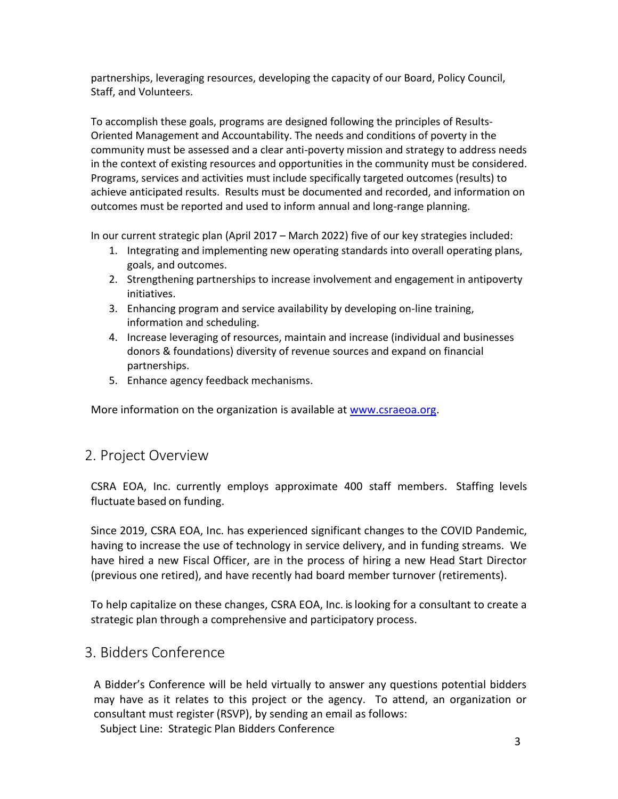partnerships, leveraging resources, developing the capacity of our Board, Policy Council, Staff, and Volunteers.

To accomplish these goals, programs are designed following the principles of Results-Oriented Management and Accountability. The needs and conditions of poverty in the community must be assessed and a clear anti-poverty mission and strategy to address needs in the context of existing resources and opportunities in the community must be considered. Programs, services and activities must include specifically targeted outcomes (results) to achieve anticipated results. Results must be documented and recorded, and information on outcomes must be reported and used to inform annual and long-range planning.

In our current strategic plan (April 2017 – March 2022) five of our key strategies included:

- 1. Integrating and implementing new operating standards into overall operating plans, goals, and outcomes.
- 2. Strengthening partnerships to increase involvement and engagement in antipoverty initiatives.
- 3. Enhancing program and service availability by developing on-line training, information and scheduling.
- 4. Increase leveraging of resources, maintain and increase (individual and businesses donors & foundations) diversity of revenue sources and expand on financial partnerships.
- 5. Enhance agency feedback mechanisms.

More information on the organization is available at [www.csraeoa.org.](http://www.csraeoa.org/)

## 2. Project Overview

CSRA EOA, Inc. currently employs approximate 400 staff members. Staffing levels fluctuate based on funding.

Since 2019, CSRA EOA, Inc. has experienced significant changes to the COVID Pandemic, having to increase the use of technology in service delivery, and in funding streams. We have hired a new Fiscal Officer, are in the process of hiring a new Head Start Director (previous one retired), and have recently had board member turnover (retirements).

To help capitalize on these changes, CSRA EOA, Inc. islooking for a consultant to create a strategic plan through a comprehensive and participatory process.

## 3. Bidders Conference

A Bidder's Conference will be held virtually to answer any questions potential bidders may have as it relates to this project or the agency. To attend, an organization or consultant must register (RSVP), by sending an email as follows:

Subject Line: Strategic Plan Bidders Conference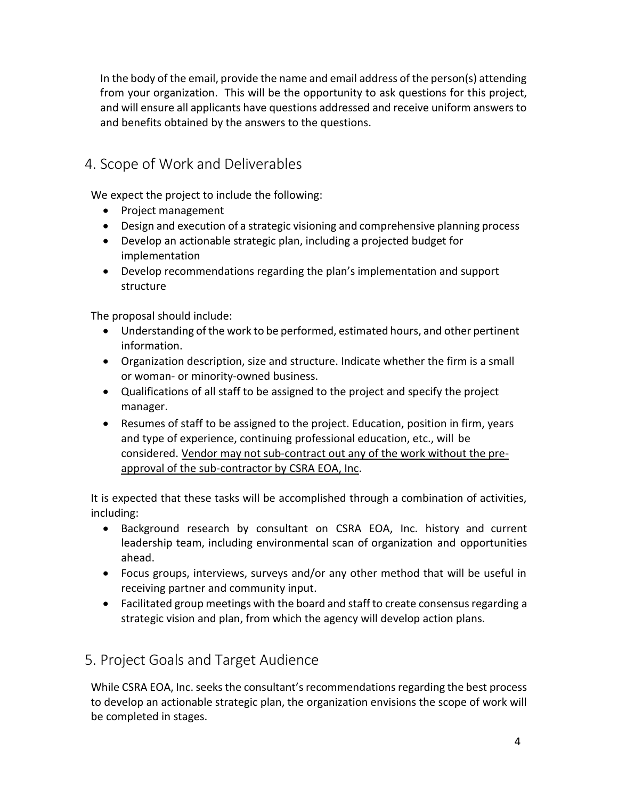In the body of the email, provide the name and email address of the person(s) attending from your organization. This will be the opportunity to ask questions for this project, and will ensure all applicants have questions addressed and receive uniform answers to and benefits obtained by the answers to the questions.

# 4. Scope of Work and Deliverables

We expect the project to include the following:

- Project management
- Design and execution of a strategic visioning and comprehensive planning process
- Develop an actionable strategic plan, including a projected budget for implementation
- Develop recommendations regarding the plan's implementation and support structure

The proposal should include:

- Understanding of the work to be performed, estimated hours, and other pertinent information.
- Organization description, size and structure. Indicate whether the firm is a small or woman- or minority-owned business.
- Qualifications of all staff to be assigned to the project and specify the project manager.
- Resumes of staff to be assigned to the project. Education, position in firm, years and type of experience, continuing professional education, etc., will be considered. Vendor may not sub-contract out any of the work without the preapproval of the sub-contractor by CSRA EOA, Inc.

It is expected that these tasks will be accomplished through a combination of activities, including:

- Background research by consultant on CSRA EOA, Inc. history and current leadership team, including environmental scan of organization and opportunities ahead.
- Focus groups, interviews, surveys and/or any other method that will be useful in receiving partner and community input.
- Facilitated group meetings with the board and staff to create consensus regarding a strategic vision and plan, from which the agency will develop action plans.

5. Project Goals and Target Audience

While CSRA EOA, Inc. seeks the consultant's recommendations regarding the best process to develop an actionable strategic plan, the organization envisions the scope of work will be completed in stages.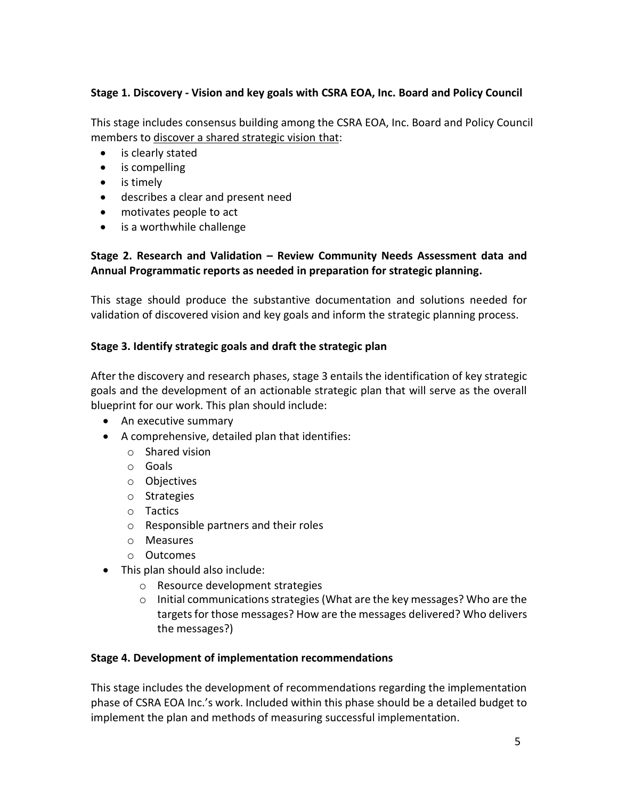### **Stage 1. Discovery - Vision and key goals with CSRA EOA, Inc. Board and Policy Council**

This stage includes consensus building among the CSRA EOA, Inc. Board and Policy Council members to discover a shared strategic vision that:

- is clearly stated
- is compelling
- is timely
- describes a clear and present need
- motivates people to act
- is a worthwhile challenge

### **Stage 2. Research and Validation – Review Community Needs Assessment data and Annual Programmatic reports as needed in preparation for strategic planning.**

This stage should produce the substantive documentation and solutions needed for validation of discovered vision and key goals and inform the strategic planning process.

### **Stage 3. Identify strategic goals and draft the strategic plan**

After the discovery and research phases, stage 3 entails the identification of key strategic goals and the development of an actionable strategic plan that will serve as the overall blueprint for our work. This plan should include:

- An executive summary
- A comprehensive, detailed plan that identifies:
	- o Shared vision
	- o Goals
	- o Objectives
	- o Strategies
	- o Tactics
	- o Responsible partners and their roles
	- o Measures
	- o Outcomes
- This plan should also include:
	- o Resource development strategies
	- $\circ$  Initial communications strategies (What are the key messages? Who are the targets for those messages? How are the messages delivered? Who delivers the messages?)

### **Stage 4. Development of implementation recommendations**

This stage includes the development of recommendations regarding the implementation phase of CSRA EOA Inc.'s work. Included within this phase should be a detailed budget to implement the plan and methods of measuring successful implementation.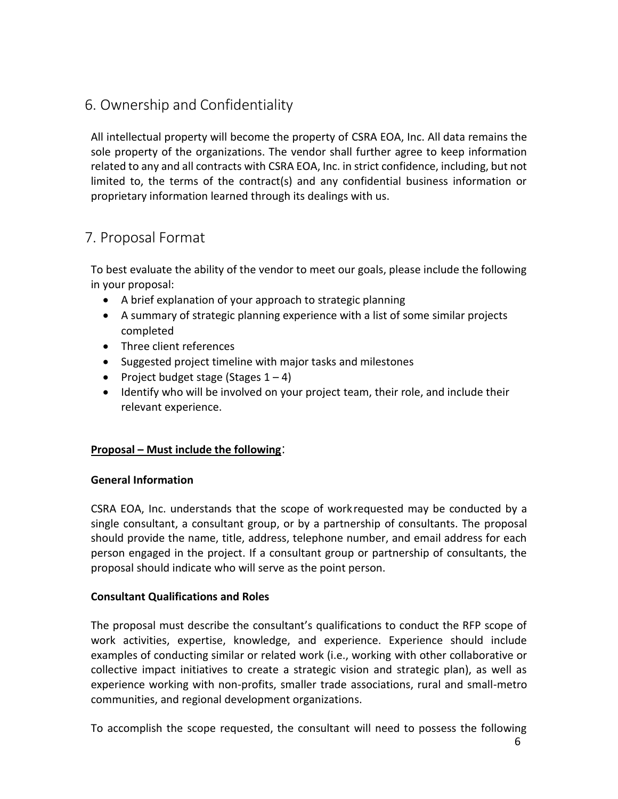# 6. Ownership and Confidentiality

All intellectual property will become the property of CSRA EOA, Inc. All data remains the sole property of the organizations. The vendor shall further agree to keep information related to any and all contracts with CSRA EOA, Inc. in strict confidence, including, but not limited to, the terms of the contract(s) and any confidential business information or proprietary information learned through its dealings with us.

# 7. Proposal Format

To best evaluate the ability of the vendor to meet our goals, please include the following in your proposal:

- A brief explanation of your approach to strategic planning
- A summary of strategic planning experience with a list of some similar projects completed
- Three client references
- Suggested project timeline with major tasks and milestones
- Project budget stage (Stages  $1 4$ )
- Identify who will be involved on your project team, their role, and include their relevant experience.

### **Proposal – Must include the following**:

### **General Information**

CSRA EOA, Inc. understands that the scope of workrequested may be conducted by a single consultant, a consultant group, or by a partnership of consultants. The proposal should provide the name, title, address, telephone number, and email address for each person engaged in the project. If a consultant group or partnership of consultants, the proposal should indicate who will serve as the point person.

### **Consultant Qualifications and Roles**

The proposal must describe the consultant's qualifications to conduct the RFP scope of work activities, expertise, knowledge, and experience. Experience should include examples of conducting similar or related work (i.e., working with other collaborative or collective impact initiatives to create a strategic vision and strategic plan), as well as experience working with non-profits, smaller trade associations, rural and small-metro communities, and regional development organizations.

To accomplish the scope requested, the consultant will need to possess the following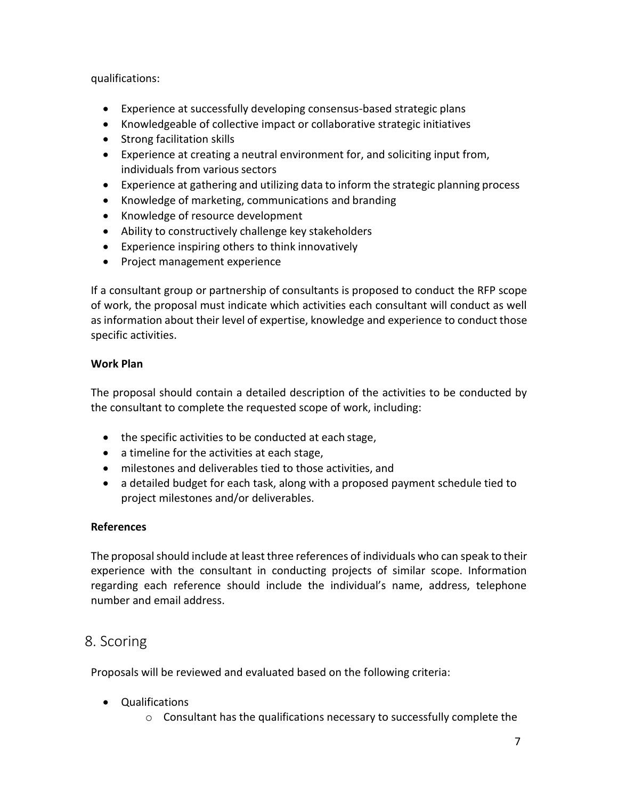qualifications:

- Experience at successfully developing consensus-based strategic plans
- Knowledgeable of collective impact or collaborative strategic initiatives
- Strong facilitation skills
- Experience at creating a neutral environment for, and soliciting input from, individuals from various sectors
- Experience at gathering and utilizing data to inform the strategic planning process
- Knowledge of marketing, communications and branding
- Knowledge of resource development
- Ability to constructively challenge key stakeholders
- Experience inspiring others to think innovatively
- Project management experience

If a consultant group or partnership of consultants is proposed to conduct the RFP scope of work, the proposal must indicate which activities each consultant will conduct as well as information about their level of expertise, knowledge and experience to conduct those specific activities.

### **Work Plan**

The proposal should contain a detailed description of the activities to be conducted by the consultant to complete the requested scope of work, including:

- the specific activities to be conducted at each stage,
- a timeline for the activities at each stage,
- milestones and deliverables tied to those activities, and
- a detailed budget for each task, along with a proposed payment schedule tied to project milestones and/or deliverables.

### **References**

The proposal should include at least three references of individuals who can speak to their experience with the consultant in conducting projects of similar scope. Information regarding each reference should include the individual's name, address, telephone number and email address.

## 8. Scoring

Proposals will be reviewed and evaluated based on the following criteria:

- Qualifications
	- o Consultant has the qualifications necessary to successfully complete the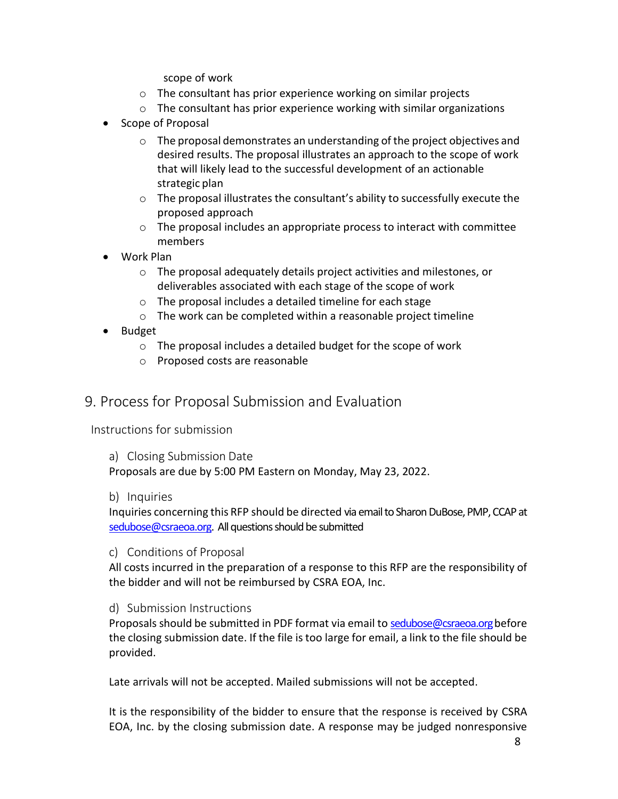scope of work

- o The consultant has prior experience working on similar projects
- o The consultant has prior experience working with similar organizations
- Scope of Proposal
	- $\circ$  The proposal demonstrates an understanding of the project objectives and desired results. The proposal illustrates an approach to the scope of work that will likely lead to the successful development of an actionable strategic plan
	- o The proposal illustrates the consultant's ability to successfully execute the proposed approach
	- o The proposal includes an appropriate process to interact with committee members
- Work Plan
	- o The proposal adequately details project activities and milestones, or deliverables associated with each stage of the scope of work
	- o The proposal includes a detailed timeline for each stage
	- o The work can be completed within a reasonable project timeline
- Budget
	- o The proposal includes a detailed budget for the scope of work
	- o Proposed costs are reasonable

## 9. Process for Proposal Submission and Evaluation

Instructions for submission

a) Closing Submission Date

Proposals are due by 5:00 PM Eastern on Monday, May 23, 2022.

b) Inquiries

Inquiries concerning this RFP should be directed via email to Sharon DuBose, PMP, CCAP at [sedubose@csraeoa.org.](mailto:sedubose@csraeoa.org) All questions should be submitted

c) Conditions of Proposal

All costs incurred in the preparation of a response to this RFP are the responsibility of the bidder and will not be reimbursed by CSRA EOA, Inc.

d) Submission Instructions

Proposals should be submitted in PDF format via email to sedubose@csraeoa.org before the closing submission date. If the file is too large for email, a link to the file should be provided.

Late arrivals will not be accepted. Mailed submissions will not be accepted.

It is the responsibility of the bidder to ensure that the response is received by CSRA EOA, Inc. by the closing submission date. A response may be judged nonresponsive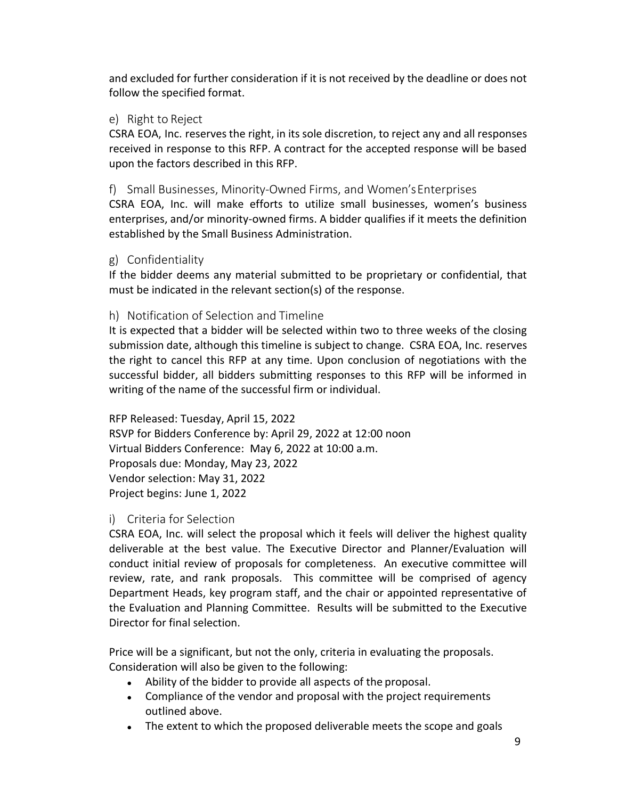and excluded for further consideration if it is not received by the deadline or does not follow the specified format.

### e) Right to Reject

CSRA EOA, Inc. reservesthe right, in its sole discretion, to reject any and all responses received in response to this RFP. A contract for the accepted response will be based upon the factors described in this RFP.

### f) Small Businesses, Minority-Owned Firms, and Women'sEnterprises

CSRA EOA, Inc. will make efforts to utilize small businesses, women's business enterprises, and/or minority-owned firms. A bidder qualifies if it meets the definition established by the Small Business Administration.

### g) Confidentiality

If the bidder deems any material submitted to be proprietary or confidential, that must be indicated in the relevant section(s) of the response.

### h) Notification of Selection and Timeline

It is expected that a bidder will be selected within two to three weeks of the closing submission date, although this timeline is subject to change. CSRA EOA, Inc. reserves the right to cancel this RFP at any time. Upon conclusion of negotiations with the successful bidder, all bidders submitting responses to this RFP will be informed in writing of the name of the successful firm or individual.

RFP Released: Tuesday, April 15, 2022 RSVP for Bidders Conference by: April 29, 2022 at 12:00 noon Virtual Bidders Conference: May 6, 2022 at 10:00 a.m. Proposals due: Monday, May 23, 2022 Vendor selection: May 31, 2022 Project begins: June 1, 2022

### i) Criteria for Selection

CSRA EOA, Inc. will select the proposal which it feels will deliver the highest quality deliverable at the best value. The Executive Director and Planner/Evaluation will conduct initial review of proposals for completeness. An executive committee will review, rate, and rank proposals. This committee will be comprised of agency Department Heads, key program staff, and the chair or appointed representative of the Evaluation and Planning Committee. Results will be submitted to the Executive Director for final selection.

Price will be a significant, but not the only, criteria in evaluating the proposals. Consideration will also be given to the following:

- Ability of the bidder to provide all aspects of the proposal.
- Compliance of the vendor and proposal with the project requirements outlined above.
- The extent to which the proposed deliverable meets the scope and goals